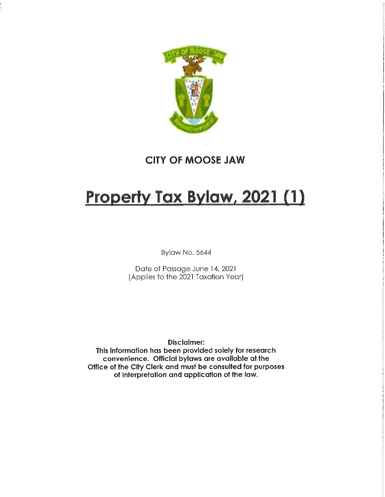

# CITY OF MOOSE JAW

# Property Tax Bylaw, 2021 (1)

Bylaw No. 5644

Date of Passage June 14, 2021 (Applies to the 2021 Taxation Year)

# Disclaimer:

This information has been provided solely for research convenience. Official bylaws are available at the Office of the City Clerk and must be consulted for purposes of interpretation and application of the law.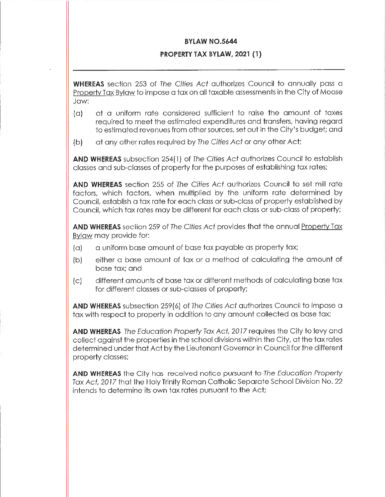### **BYLAW NO.5644**

# PROPERTY TAX BYLAW, 2021 (1)

WHEREAS section 253 of The Cities Act authorizes Council to annually pass a Property Tax Bylaw to impose a tax on all taxable assessments in the City of Moose Jaw:

- (a) at a uniform ra+e considered sufficient +o raise the amount of taxes required to meet the estimated expenditures and transfers, having regard to estimated revenues from other sources, set out in the City's budget; and
- (b) at any other rates required by The Cities Act or any other Act;

AND WHEREAS subsection 254(1} of The Cities Act authorizes Council to establish classes and sub-classes of property for the purposes of establishing tax rates;

AND WHEREAS section 255 of The Cities Act authorizes Council to set mill rate factors, which factors, when multiplied by the uniform rate determined by Council, establish a tax rate for each class or sub-class of property established by Council, which tax rates may be different for each class or sub-class of property;

AND WHEREAS section 259 of The Cities Act provides that the annual Property Tax Bylaw may provide for:

- (a) a uniform base amount of base tax payable as property tax;
- (b) either a base amount of tax or a method of calculating the amount of base tax; and
- (c) different amounts of base tax or different methods of calculating base tax for different classes or sub-classes of property;

AND WHEREAS subsection 259(6) of The Cities Act authorizes Council to impose a tax with respect to property in addition to any amount collected as base tax;

AND WHEREAS The Education Property Tax Act, 2017 requires the City to levy and collect against the properties in the school divisions within the City, at the tax rates determined under that Act by the Lieutenant Governor in Council for the different property classes;

AND WHEREAS the City has received notice pursuant to The Education Property Tax Act, 2017 that the Holy Trinity Roman Catholic Separate School Division No. 22 intends to determine its own tax rates pursuant to the Act;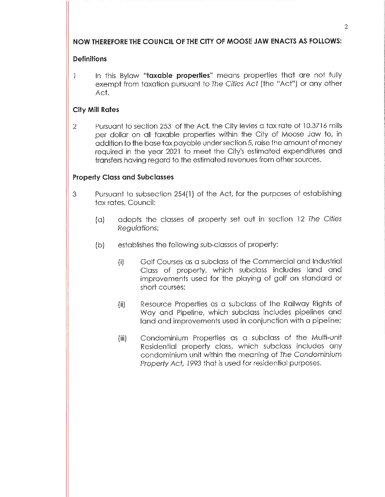# NOW THEREFORE THE COUNCIL OF THE CITY OF MOOSE JAW ENACTS AS FOLLOWS:

# **Definitions**

1 In this Bylaw "taxable properties" means properties that are not fully exempt from taxation pursuant to The Cities Act (the "Act") or any other Act.

# City Mill Rates

2 Pursuant to section 253 of the Act, the City levies a tax rate of 10.3716 mills per dollar on all taxable properties within the City of Moose Jaw to, in addition to the base tax payable under section 5, raise the amount of money required in the year 2021 to meet the City's estimated expenditures and transfers having regard to the estimated revenues from other sources.

# Property Class and Subclasses

- 3 Pursuant to subsection 254(1) of the Act/ for the purposes of establishing tax rates, Council:
	- (a) adopts the classes of property set out in section 12 The Cities Regu/ations;
	- (b) establishes the following sub-closses of property:
		- (i) Golf Courses as a subclass of the Commercial and Industrial Class of property, which subclass includes land and improvements used for the playing of golf on standard or short courses;
		- (ii) Resource Properties as a subclass of the Railway Rights of Way and Pipeline, which subclass includes pipelines and land and improvements used in conjunction with a pipeline;
		- (iii) Condominium Properties as a subciass of the Multi-unft Residential property class, which subclass includes any condominium unit within the meaning of The Condominium Property Act, 1993 that is used for residential purposes.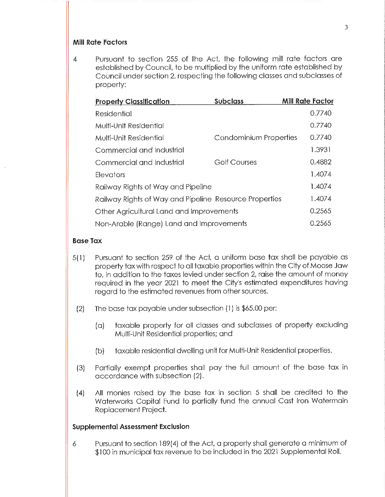# Mill Rate Factors

4 Pursuant to section 255 of the Act, the following mill rate factors are established by Council, to be multiplied by the uniform rate established by Council under section 2, respecting the following classes and subclasses of property:

| <b>Property Classification</b>                         | <b>Subclass</b>        | <b>Mill Rate Factor</b> |
|--------------------------------------------------------|------------------------|-------------------------|
| Residential                                            |                        | 0.7740                  |
| Multi-Unit Residential                                 |                        | 0.7740                  |
| Multi-Unit Residential                                 | Condominium Properties | 0.7740                  |
| Commercial and Industrial                              |                        | 1.3931                  |
| Commercial and Industrial                              | <b>Golf Courses</b>    | 0.4882                  |
| Elevators                                              |                        | 1.4074                  |
| Railway Rights of Way and Pipeline                     |                        | 1.4074                  |
| Railway Rights of Way and Pipeline Resource Properties |                        | 1.4074                  |
| Other Agricultural Land and Improvements               |                        | 0.2565                  |
| Non-Arable (Range) Land and Improvements               |                        | 0.2565                  |

#### Base Tax

- $5(1)$  Pursuant to section 259 of the Act, a uniform base tax shall be payable as property tax with respect to all taxable properties within the City of Moose Jaw to, in addition to the taxes levied under section 2, raise the amount of money required in the year 2021 to meet the City's estimated expenditures having regard to the estimated revenues from other sources.
- (2) The base tax payable under subsection (1) is \$65.00 per:
	- (a) taxable property for all classes and subclasses of property excluding Multi-Unit Residential properties; and
	- (b) taxable residential dwelling unit for Multi-Unit Residential properties.
- (3) Partially exempt properties shall pay the full amount of the base tax in accordance with subsection (2).
- (4) Ail monies raised by the base tax in section 5 shall be credited to the Waterworks Capital Fund to partially fund the annual Cast Iron Watermain Replacement Project.

#### Supplemental Assessment Exclusion

6 Pursuant to section 1 89(4) of the Act, a property shall generate a minimum of \$100 in municipal tax revenue to be included in the 2021 Supplemental Roll.